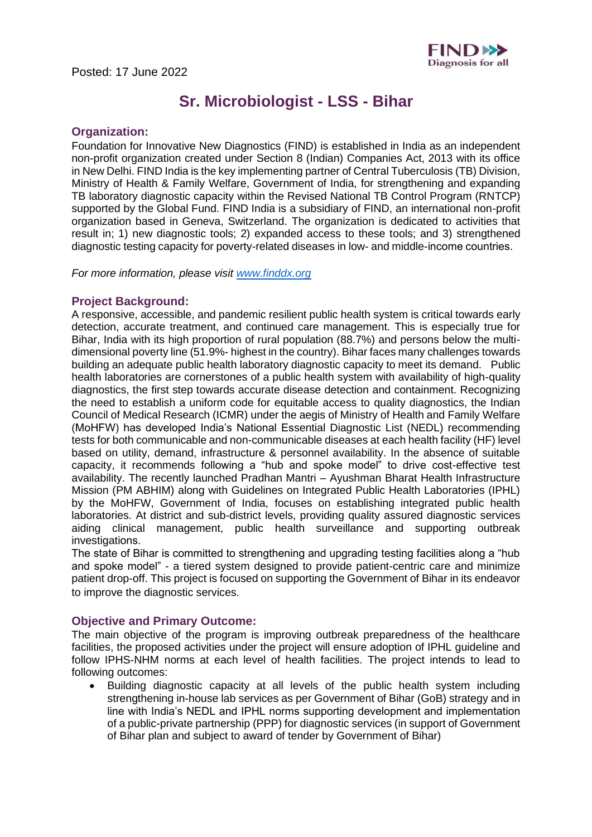

# **Sr. Microbiologist - LSS - Bihar**

### **Organization:**

Foundation for Innovative New Diagnostics (FIND) is established in India as an independent non-profit organization created under Section 8 (Indian) Companies Act, 2013 with its office in New Delhi. FIND India is the key implementing partner of Central Tuberculosis (TB) Division, Ministry of Health & Family Welfare, Government of India, for strengthening and expanding TB laboratory diagnostic capacity within the Revised National TB Control Program (RNTCP) supported by the Global Fund. FIND India is a subsidiary of FIND, an international non-profit organization based in Geneva, Switzerland. The organization is dedicated to activities that result in; 1) new diagnostic tools; 2) expanded access to these tools; and 3) strengthened diagnostic testing capacity for poverty-related diseases in low- and middle-income countries. 

*For more information, please visit [www.finddx.org](http://www.finddx.org/)*

#### **Project Background:**

A responsive, accessible, and pandemic resilient public health system is critical towards early detection, accurate treatment, and continued care management. This is especially true for Bihar, India with its high proportion of rural population (88.7%) and persons below the multidimensional poverty line (51.9%- highest in the country). Bihar faces many challenges towards building an adequate public health laboratory diagnostic capacity to meet its demand. Public health laboratories are cornerstones of a public health system with availability of high-quality diagnostics, the first step towards accurate disease detection and containment. Recognizing the need to establish a uniform code for equitable access to quality diagnostics, the Indian Council of Medical Research (ICMR) under the aegis of Ministry of Health and Family Welfare (MoHFW) has developed India's National Essential Diagnostic List (NEDL) recommending tests for both communicable and non-communicable diseases at each health facility (HF) level based on utility, demand, infrastructure & personnel availability. In the absence of suitable capacity, it recommends following a "hub and spoke model" to drive cost-effective test availability. The recently launched Pradhan Mantri – Ayushman Bharat Health Infrastructure Mission (PM ABHIM) along with Guidelines on Integrated Public Health Laboratories (IPHL) by the MoHFW, Government of India, focuses on establishing integrated public health laboratories. At district and sub-district levels, providing quality assured diagnostic services aiding clinical management, public health surveillance and supporting outbreak investigations. 

The state of Bihar is committed to strengthening and upgrading testing facilities along a "hub and spoke model" - a tiered system designed to provide patient-centric care and minimize patient drop-off. This project is focused on supporting the Government of Bihar in its endeavor to improve the diagnostic services.

#### **Objective and Primary Outcome:**

The main objective of the program is improving outbreak preparedness of the healthcare facilities, the proposed activities under the project will ensure adoption of IPHL guideline and follow IPHS-NHM norms at each level of health facilities. The project intends to lead to following outcomes:

• Building diagnostic capacity at all levels of the public health system including strengthening in-house lab services as per Government of Bihar (GoB) strategy and in line with India's NEDL and IPHL norms supporting development and implementation of a public-private partnership (PPP) for diagnostic services (in support of Government of Bihar plan and subject to award of tender by Government of Bihar)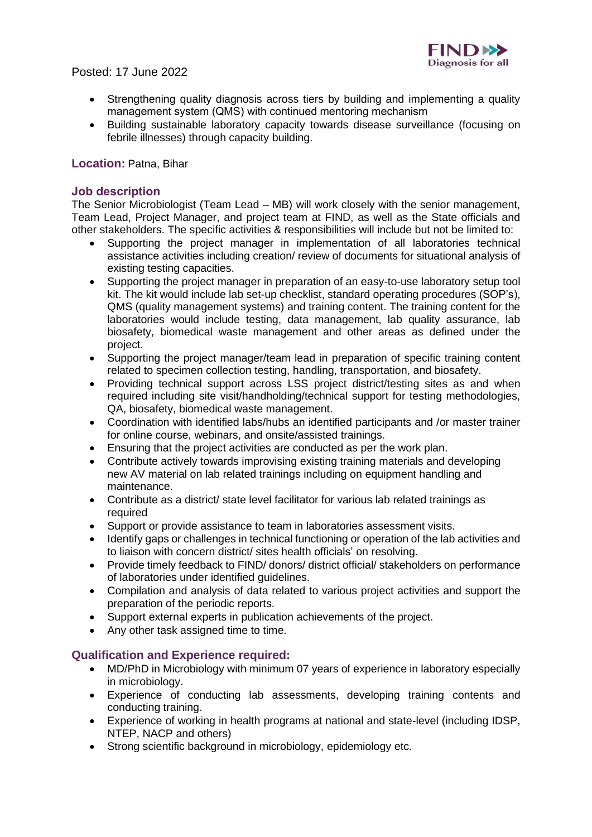

# Posted: 17 June 2022

- Strengthening quality diagnosis across tiers by building and implementing a quality management system (QMS) with continued mentoring mechanism
- Building sustainable laboratory capacity towards disease surveillance (focusing on febrile illnesses) through capacity building.

## **Location:** Patna, Bihar

### **Job description**

The Senior Microbiologist (Team Lead – MB) will work closely with the senior management, Team Lead, Project Manager, and project team at FIND, as well as the State officials and other stakeholders. The specific activities & responsibilities will include but not be limited to:

- Supporting the project manager in implementation of all laboratories technical assistance activities including creation/ review of documents for situational analysis of existing testing capacities.
- Supporting the project manager in preparation of an easy-to-use laboratory setup tool kit. The kit would include lab set-up checklist, standard operating procedures (SOP's), QMS (quality management systems) and training content. The training content for the laboratories would include testing, data management, lab quality assurance, lab biosafety, biomedical waste management and other areas as defined under the project.
- Supporting the project manager/team lead in preparation of specific training content related to specimen collection testing, handling, transportation, and biosafety.
- Providing technical support across LSS project district/testing sites as and when required including site visit/handholding/technical support for testing methodologies, QA, biosafety, biomedical waste management.
- Coordination with identified labs/hubs an identified participants and /or master trainer for online course, webinars, and onsite/assisted trainings.
- Ensuring that the project activities are conducted as per the work plan.
- Contribute actively towards improvising existing training materials and developing new AV material on lab related trainings including on equipment handling and maintenance.
- Contribute as a district/ state level facilitator for various lab related trainings as required
- Support or provide assistance to team in laboratories assessment visits.
- Identify gaps or challenges in technical functioning or operation of the lab activities and to liaison with concern district/ sites health officials' on resolving.
- Provide timely feedback to FIND/ donors/ district official/ stakeholders on performance of laboratories under identified guidelines.
- Compilation and analysis of data related to various project activities and support the preparation of the periodic reports.
- Support external experts in publication achievements of the project.
- Any other task assigned time to time.

## **Qualification and Experience required:**

- MD/PhD in Microbiology with minimum 07 years of experience in laboratory especially in microbiology.
- Experience of conducting lab assessments, developing training contents and conducting training.
- Experience of working in health programs at national and state-level (including IDSP, NTEP, NACP and others)
- Strong scientific background in microbiology, epidemiology etc.